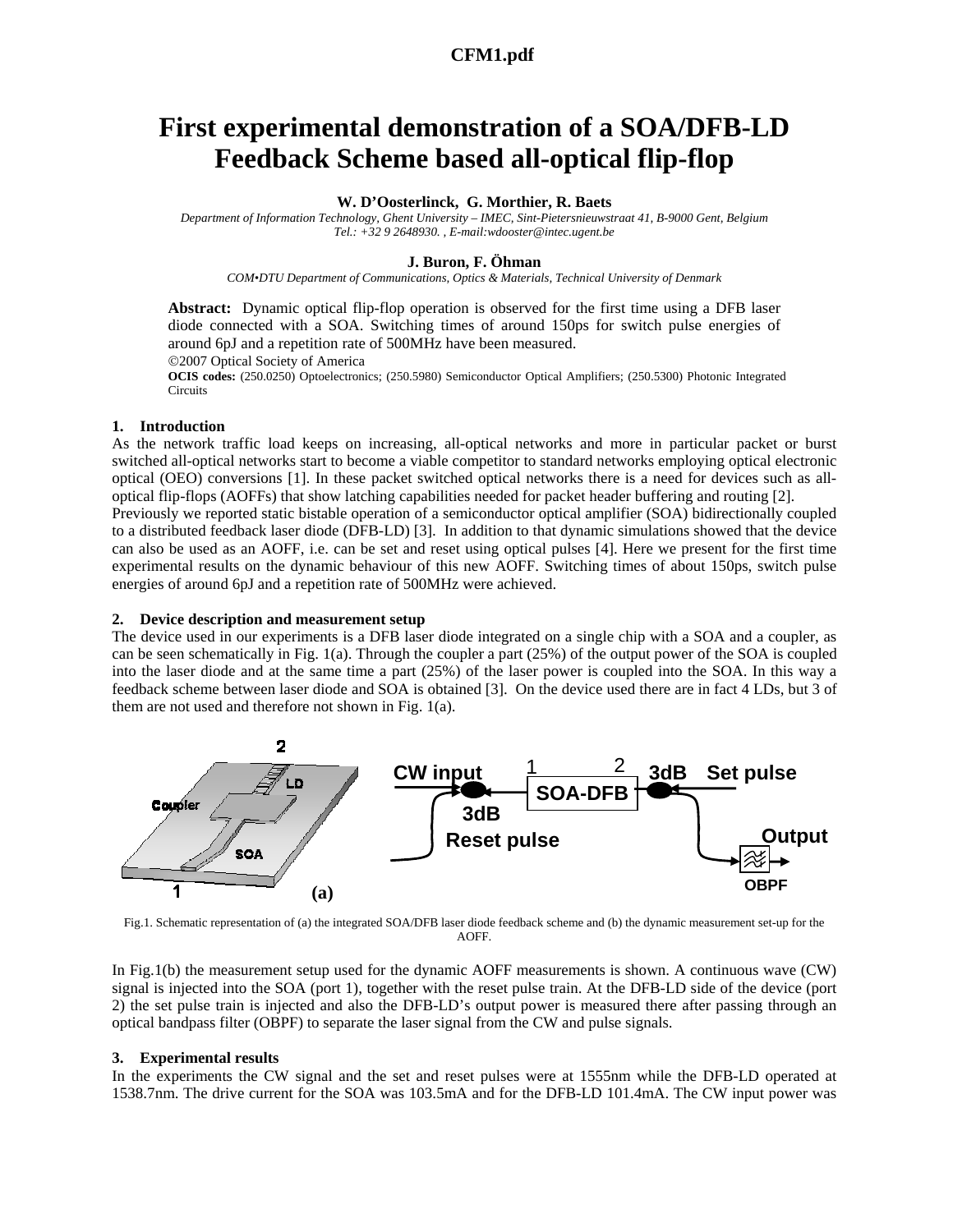## **a645\_1.pdf CFM1.pdf**

# **First experimental demonstration of a SOA/DFB-LD Feedback Scheme based all-optical flip-flop**

## **W. D'Oosterlinck, G. Morthier, R. Baets**

*Department of Information Technology, Ghent University – IMEC, Sint-Pietersnieuwstraat 41, B-9000 Gent, Belgium Tel.: +32 9 2648930. , E-mail:wdooster@intec.ugent.be* 

#### **J. Buron, F. Öhman**

*COM•DTU Department of Communications, Optics & Materials, Technical University of Denmark* 

**Abstract:** Dynamic optical flip-flop operation is observed for the first time using a DFB laser diode connected with a SOA. Switching times of around 150ps for switch pulse energies of around 6pJ and a repetition rate of 500MHz have been measured. ©2007 Optical Society of America **OCIS codes:** (250.0250) Optoelectronics; (250.5980) Semiconductor Optical Amplifiers; (250.5300) Photonic Integrated

Circuits

## **1. Introduction**

As the network traffic load keeps on increasing, all-optical networks and more in particular packet or burst switched all-optical networks start to become a viable competitor to standard networks employing optical electronic optical (OEO) conversions [1]. In these packet switched optical networks there is a need for devices such as alloptical flip-flops (AOFFs) that show latching capabilities needed for packet header buffering and routing [2]. Previously we reported static bistable operation of a semiconductor optical amplifier (SOA) bidirectionally coupled to a distributed feedback laser diode (DFB-LD) [3]. In addition to that dynamic simulations showed that the device can also be used as an AOFF, i.e. can be set and reset using optical pulses [4]. Here we present for the first time experimental results on the dynamic behaviour of this new AOFF. Switching times of about 150ps, switch pulse energies of around 6pJ and a repetition rate of 500MHz were achieved.

#### **2. Device description and measurement setup**

The device used in our experiments is a DFB laser diode integrated on a single chip with a SOA and a coupler, as can be seen schematically in Fig. 1(a). Through the coupler a part (25%) of the output power of the SOA is coupled into the laser diode and at the same time a part (25%) of the laser power is coupled into the SOA. In this way a feedback scheme between laser diode and SOA is obtained [3]. On the device used there are in fact 4 LDs, but 3 of them are not used and therefore not shown in Fig. 1(a).



Fig.1. Schematic representation of (a) the integrated SOA/DFB laser diode feedback scheme and (b) the dynamic measurement set-up for the AOFF.

In Fig.1(b) the measurement setup used for the dynamic AOFF measurements is shown. A continuous wave (CW) signal is injected into the SOA (port 1), together with the reset pulse train. At the DFB-LD side of the device (port 2) the set pulse train is injected and also the DFB-LD's output power is measured there after passing through an optical bandpass filter (OBPF) to separate the laser signal from the CW and pulse signals.

#### **3. Experimental results**

In the experiments the CW signal and the set and reset pulses were at 1555nm while the DFB-LD operated at 1538.7nm. The drive current for the SOA was 103.5mA and for the DFB-LD 101.4mA. The CW input power was